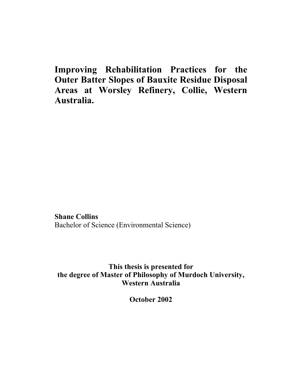**Improving Rehabilitation Practices for the Outer Batter Slopes of Bauxite Residue Disposal Areas at Worsley Refinery, Collie, Western Australia.** 

**Shane Collins**  Bachelor of Science (Environmental Science)

**This thesis is presented for the degree of Master of Philosophy of Murdoch University, Western Australia** 

**October 2002**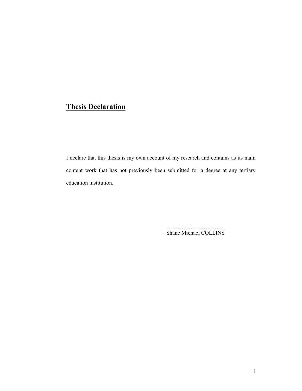## **Thesis Declaration**

I declare that this thesis is my own account of my research and contains as its main content work that has not previously been submitted for a degree at any tertiary education institution.

> Shane Michael COLLINS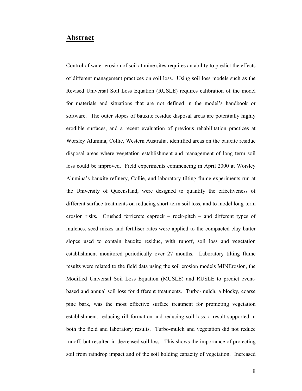#### **Abstract**

Control of water erosion of soil at mine sites requires an ability to predict the effects of different management practices on soil loss. Using soil loss models such as the Revised Universal Soil Loss Equation (RUSLE) requires calibration of the model for materials and situations that are not defined in the model's handbook or software. The outer slopes of bauxite residue disposal areas are potentially highly erodible surfaces, and a recent evaluation of previous rehabilitation practices at Worsley Alumina, Collie, Western Australia, identified areas on the bauxite residue disposal areas where vegetation establishment and management of long term soil loss could be improved. Field experiments commencing in April 2000 at Worsley Alumina's bauxite refinery, Collie, and laboratory tilting flume experiments run at the University of Queensland, were designed to quantify the effectiveness of different surface treatments on reducing short-term soil loss, and to model long-term erosion risks. Crushed ferricrete caprock – rock-pitch – and different types of mulches, seed mixes and fertiliser rates were applied to the compacted clay batter slopes used to contain bauxite residue, with runoff, soil loss and vegetation establishment monitored periodically over 27 months. Laboratory tilting flume results were related to the field data using the soil erosion models MINErosion, the Modified Universal Soil Loss Equation (MUSLE) and RUSLE to predict eventbased and annual soil loss for different treatments. Turbo-mulch, a blocky, coarse pine bark, was the most effective surface treatment for promoting vegetation establishment, reducing rill formation and reducing soil loss, a result supported in both the field and laboratory results. Turbo-mulch and vegetation did not reduce runoff, but resulted in decreased soil loss. This shows the importance of protecting soil from raindrop impact and of the soil holding capacity of vegetation. Increased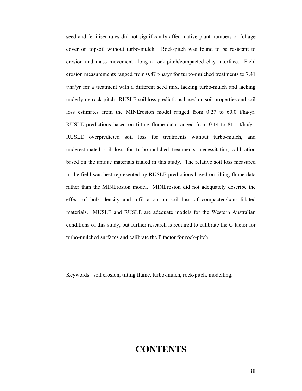seed and fertiliser rates did not significantly affect native plant numbers or foliage cover on topsoil without turbo-mulch. Rock-pitch was found to be resistant to erosion and mass movement along a rock-pitch/compacted clay interface. Field erosion measurements ranged from 0.87 t/ha/yr for turbo-mulched treatments to 7.41 t/ha/yr for a treatment with a different seed mix, lacking turbo-mulch and lacking underlying rock-pitch. RUSLE soil loss predictions based on soil properties and soil loss estimates from the MINErosion model ranged from 0.27 to 60.0 t/ha/yr. RUSLE predictions based on tilting flume data ranged from 0.14 to 81.1 t/ha/yr. RUSLE overpredicted soil loss for treatments without turbo-mulch, and underestimated soil loss for turbo-mulched treatments, necessitating calibration based on the unique materials trialed in this study. The relative soil loss measured in the field was best represented by RUSLE predictions based on tilting flume data rather than the MINErosion model. MINErosion did not adequately describe the effect of bulk density and infiltration on soil loss of compacted/consolidated materials. MUSLE and RUSLE are adequate models for the Western Australian conditions of this study, but further research is required to calibrate the C factor for turbo-mulched surfaces and calibrate the P factor for rock-pitch.

Keywords: soil erosion, tilting flume, turbo-mulch, rock-pitch, modelling.

# **CONTENTS**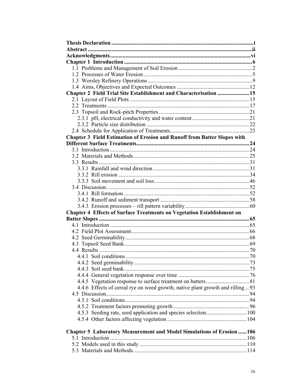| Chapter 2 Field Trial Site Establishment and Characterisation  15             |  |
|-------------------------------------------------------------------------------|--|
|                                                                               |  |
|                                                                               |  |
|                                                                               |  |
|                                                                               |  |
|                                                                               |  |
|                                                                               |  |
| Chapter 3 Field Estimation of Erosion and Runoff from Batter Slopes with      |  |
|                                                                               |  |
|                                                                               |  |
|                                                                               |  |
|                                                                               |  |
|                                                                               |  |
|                                                                               |  |
|                                                                               |  |
|                                                                               |  |
|                                                                               |  |
|                                                                               |  |
|                                                                               |  |
| <b>Chapter 4 Effects of Surface Treatments on Vegetation Establishment on</b> |  |
|                                                                               |  |
|                                                                               |  |
|                                                                               |  |
|                                                                               |  |
|                                                                               |  |
|                                                                               |  |
|                                                                               |  |
|                                                                               |  |
|                                                                               |  |
|                                                                               |  |
|                                                                               |  |
| 4.4.6 Effects of cereal rye on weed growth, native plant growth and rilling93 |  |
|                                                                               |  |
|                                                                               |  |
|                                                                               |  |
|                                                                               |  |
|                                                                               |  |
| Chapter 5 Laboratory Measurement and Model Simulations of Erosion  106        |  |
|                                                                               |  |
|                                                                               |  |
|                                                                               |  |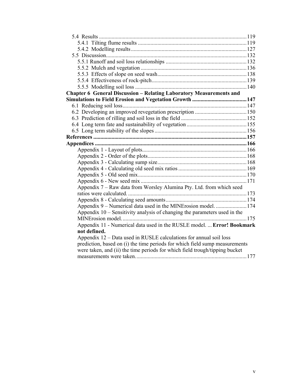| <b>Chapter 6 General Discussion - Relating Laboratory Measurements and</b>  |  |
|-----------------------------------------------------------------------------|--|
|                                                                             |  |
|                                                                             |  |
|                                                                             |  |
|                                                                             |  |
|                                                                             |  |
|                                                                             |  |
|                                                                             |  |
|                                                                             |  |
|                                                                             |  |
|                                                                             |  |
|                                                                             |  |
|                                                                             |  |
|                                                                             |  |
|                                                                             |  |
| Appendix 7 – Raw data from Worsley Alumina Pty. Ltd. from which seed        |  |
|                                                                             |  |
|                                                                             |  |
| Appendix 9 – Numerical data used in the MINErosion model.  174              |  |
| Appendix $10$ – Sensitivity analysis of changing the parameters used in the |  |
|                                                                             |  |
| Appendix 11 - Numerical data used in the RUSLE model.  Error! Bookmark      |  |
| not defined.                                                                |  |
| Appendix 12 – Data used in RUSLE calculations for annual soil loss          |  |
| prediction, based on (i) the time periods for which field sump measurements |  |
| were taken, and (ii) the time periods for which field trough/tipping bucket |  |
|                                                                             |  |